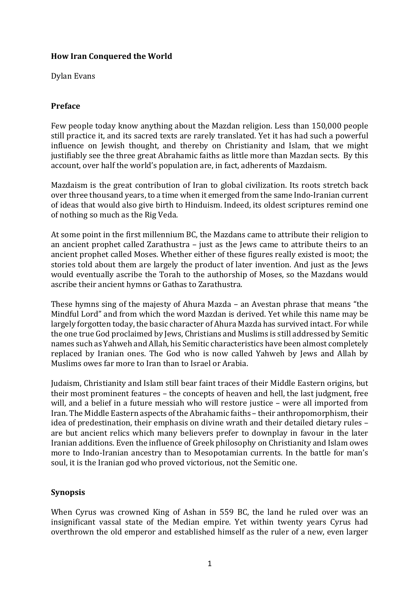### **How Iran Conquered the World**

Dylan Evans

### **Preface**

Few people today know anything about the Mazdan religion. Less than 150,000 people still practice it, and its sacred texts are rarely translated. Yet it has had such a powerful influence on Jewish thought, and thereby on Christianity and Islam, that we might justifiably see the three great Abrahamic faiths as little more than Mazdan sects. By this account, over half the world's population are, in fact, adherents of Mazdaism.

Mazdaism is the great contribution of Iran to global civilization. Its roots stretch back over three thousand years, to a time when it emerged from the same Indo-Iranian current of ideas that would also give birth to Hinduism. Indeed, its oldest scriptures remind one of nothing so much as the Rig Veda.

At some point in the first millennium BC, the Mazdans came to attribute their religion to an ancient prophet called Zarathustra  $-$  just as the Jews came to attribute theirs to an ancient prophet called Moses. Whether either of these figures really existed is moot; the stories told about them are largely the product of later invention. And just as the lews would eventually ascribe the Torah to the authorship of Moses, so the Mazdans would ascribe their ancient hymns or Gathas to Zarathustra.

These hymns sing of the majesty of Ahura Mazda – an Avestan phrase that means "the Mindful Lord" and from which the word Mazdan is derived. Yet while this name may be largely forgotten today, the basic character of Ahura Mazda has survived intact. For while the one true God proclaimed by Jews, Christians and Muslims is still addressed by Semitic names such as Yahweh and Allah, his Semitic characteristics have been almost completely replaced by Iranian ones. The God who is now called Yahweh by Jews and Allah by Muslims owes far more to Iran than to Israel or Arabia.

Judaism, Christianity and Islam still bear faint traces of their Middle Eastern origins, but their most prominent features – the concepts of heaven and hell, the last judgment, free will, and a belief in a future messiah who will restore justice - were all imported from Iran. The Middle Eastern aspects of the Abrahamic faiths – their anthropomorphism, their idea of predestination, their emphasis on divine wrath and their detailed dietary rules are but ancient relics which many believers prefer to downplay in favour in the later Iranian additions. Even the influence of Greek philosophy on Christianity and Islam owes more to Indo-Iranian ancestry than to Mesopotamian currents. In the battle for man's soul, it is the Iranian god who proved victorious, not the Semitic one.

### **Synopsis**

When Cyrus was crowned King of Ashan in 559 BC, the land he ruled over was an insignificant vassal state of the Median empire. Yet within twenty years Cyrus had overthrown the old emperor and established himself as the ruler of a new, even larger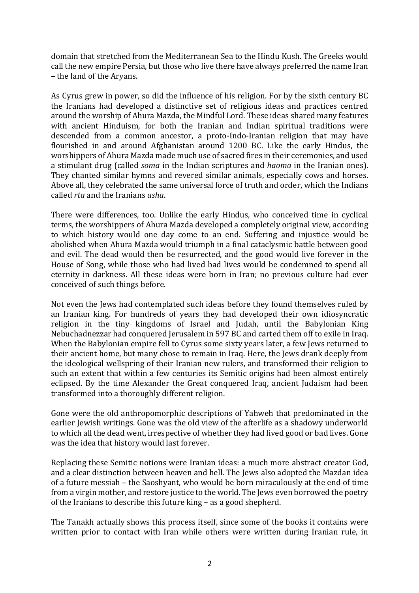domain that stretched from the Mediterranean Sea to the Hindu Kush. The Greeks would call the new empire Persia, but those who live there have always preferred the name Iran – the land of the Aryans.

As Cyrus grew in power, so did the influence of his religion. For by the sixth century BC the Iranians had developed a distinctive set of religious ideas and practices centred around the worship of Ahura Mazda, the Mindful Lord. These ideas shared many features with ancient Hinduism, for both the Iranian and Indian spiritual traditions were descended from a common ancestor, a proto-Indo-Iranian religion that may have flourished in and around Afghanistan around 1200 BC. Like the early Hindus, the worshippers of Ahura Mazda made much use of sacred fires in their ceremonies, and used a stimulant drug (called *soma* in the Indian scriptures and *haoma* in the Iranian ones). They chanted similar hymns and revered similar animals, especially cows and horses. Above all, they celebrated the same universal force of truth and order, which the Indians called *rta* and the Iranians *asha*.

There were differences, too. Unlike the early Hindus, who conceived time in cyclical terms, the worshippers of Ahura Mazda developed a completely original view, according to which history would one day come to an end. Suffering and injustice would be abolished when Ahura Mazda would triumph in a final cataclysmic battle between good and evil. The dead would then be resurrected, and the good would live forever in the House of Song, while those who had lived bad lives would be condemned to spend all eternity in darkness. All these ideas were born in Iran; no previous culture had ever conceived of such things before.

Not even the Jews had contemplated such ideas before they found themselves ruled by an Iranian king. For hundreds of years they had developed their own idiosyncratic religion in the tiny kingdoms of Israel and Judah, until the Babylonian King Nebuchadnezzar had conquered Jerusalem in 597 BC and carted them off to exile in Iraq. When the Babylonian empire fell to Cyrus some sixty vears later, a few Jews returned to their ancient home, but many chose to remain in Iraq. Here, the Jews drank deeply from the ideological wellspring of their Iranian new rulers, and transformed their religion to such an extent that within a few centuries its Semitic origins had been almost entirely eclipsed. By the time Alexander the Great conquered Iraq, ancient Judaism had been transformed into a thoroughly different religion.

Gone were the old anthropomorphic descriptions of Yahweh that predominated in the earlier Jewish writings. Gone was the old view of the afterlife as a shadowy underworld to which all the dead went, irrespective of whether they had lived good or bad lives. Gone was the idea that history would last forever.

Replacing these Semitic notions were Iranian ideas: a much more abstract creator God. and a clear distinction between heaven and hell. The Jews also adopted the Mazdan idea of a future messiah – the Saoshyant, who would be born miraculously at the end of time from a virgin mother, and restore justice to the world. The Jews even borrowed the poetry of the Iranians to describe this future  $\text{king}$  – as a good shepherd.

The Tanakh actually shows this process itself, since some of the books it contains were written prior to contact with Iran while others were written during Iranian rule, in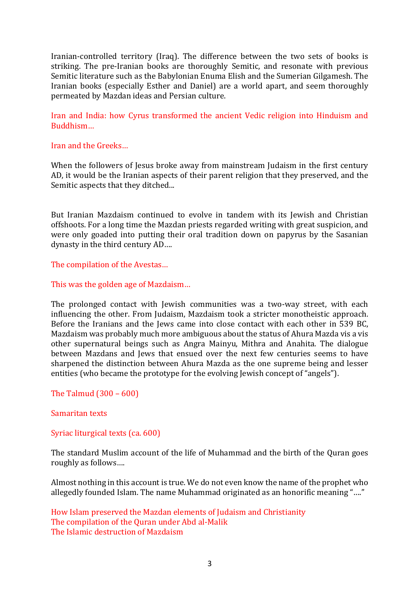Iranian-controlled territory (Iraq). The difference between the two sets of books is striking. The pre-Iranian books are thoroughly Semitic, and resonate with previous Semitic literature such as the Babylonian Enuma Elish and the Sumerian Gilgamesh. The Iranian books (especially Esther and Daniel) are a world apart, and seem thoroughly permeated by Mazdan ideas and Persian culture.

Iran and India: how Cyrus transformed the ancient Vedic religion into Hinduism and Buddhism…

#### Iran and the Greeks...

When the followers of Jesus broke away from mainstream Judaism in the first century AD, it would be the Iranian aspects of their parent religion that they preserved, and the Semitic aspects that they ditched...

But Iranian Mazdaism continued to evolve in tandem with its Jewish and Christian offshoots. For a long time the Mazdan priests regarded writing with great suspicion, and were only goaded into putting their oral tradition down on papyrus by the Sasanian dynasty in the third century AD....

The compilation of the Avestas...

This was the golden age of Mazdaism...

The prolonged contact with Jewish communities was a two-way street, with each influencing the other. From Judaism, Mazdaism took a stricter monotheistic approach. Before the Iranians and the Jews came into close contact with each other in 539 BC, Mazdaism was probably much more ambiguous about the status of Ahura Mazda vis a vis other supernatural beings such as Angra Mainyu, Mithra and Anahita. The dialogue between Mazdans and Jews that ensued over the next few centuries seems to have sharpened the distinction between Ahura Mazda as the one supreme being and lesser entities (who became the prototype for the evolving Jewish concept of "angels").

The Talmud  $(300 - 600)$ 

Samaritan texts

Syriac liturgical texts (ca. 600)

The standard Muslim account of the life of Muhammad and the birth of the Quran goes roughly as follows....

Almost nothing in this account is true. We do not even know the name of the prophet who allegedly founded Islam. The name Muhammad originated as an honorific meaning "...."

How Islam preserved the Mazdan elements of Judaism and Christianity The compilation of the Ouran under Abd al-Malik The Islamic destruction of Mazdaism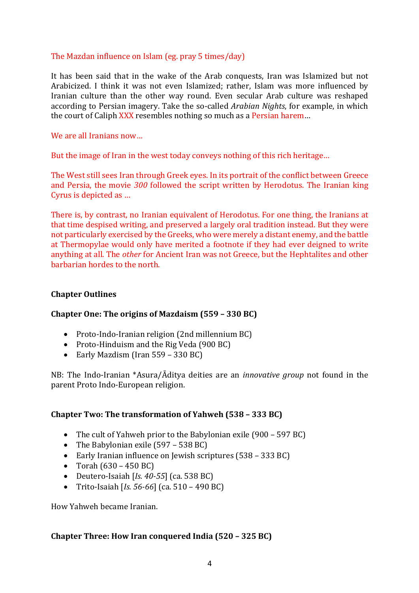### The Mazdan influence on Islam (eg. pray 5 times/day)

It has been said that in the wake of the Arab conquests, Iran was Islamized but not Arabicized. I think it was not even Islamized; rather, Islam was more influenced by Iranian culture than the other way round. Even secular Arab culture was reshaped according to Persian imagery. Take the so-called *Arabian Nights*, for example, in which the court of Caliph XXX resembles nothing so much as a Persian harem...

#### We are all Iranians now...

But the image of Iran in the west today conveys nothing of this rich heritage...

The West still sees Iran through Greek eyes. In its portrait of the conflict between Greece and Persia, the movie 300 followed the script written by Herodotus. The Iranian king Cyrus is depicted as ...

There is, by contrast, no Iranian equivalent of Herodotus. For one thing, the Iranians at that time despised writing, and preserved a largely oral tradition instead. But they were not particularly exercised by the Greeks, who were merely a distant enemy, and the battle at Thermopylae would only have merited a footnote if they had ever deigned to write anything at all. The *other* for Ancient Iran was not Greece, but the Hephtalites and other barbarian hordes to the north.

#### **Chapter Outlines**

### **Chapter One: The origins of Mazdaism (559 – 330 BC)**

- Proto-Indo-Iranian religion (2nd millennium BC)
- Proto-Hinduism and the Rig Veda (900 BC)
- Early Mazdism (Iran 559 330 BC)

NB: The Indo-Iranian \*Asura/Āditya deities are an *innovative group* not found in the parent Proto Indo-European religion.

### **Chapter Two: The transformation of Yahweh (538 – 333 BC)**

- The cult of Yahweh prior to the Babylonian exile  $(900 597 BC)$
- The Babylonian exile  $(597 538 \text{ BC})$
- Early Iranian influence on Jewish scriptures (538 333 BC)
- Torah  $(630 450 \text{ BC})$
- Deutero-Isaiah [ $Is. 40-55$ ] (ca. 538 BC)
- Trito-Isaiah [*Is.* 56-66] (ca. 510 490 BC)

How Yahweh became Iranian. 

#### **Chapter Three: How Iran conquered India (520 – 325 BC)**